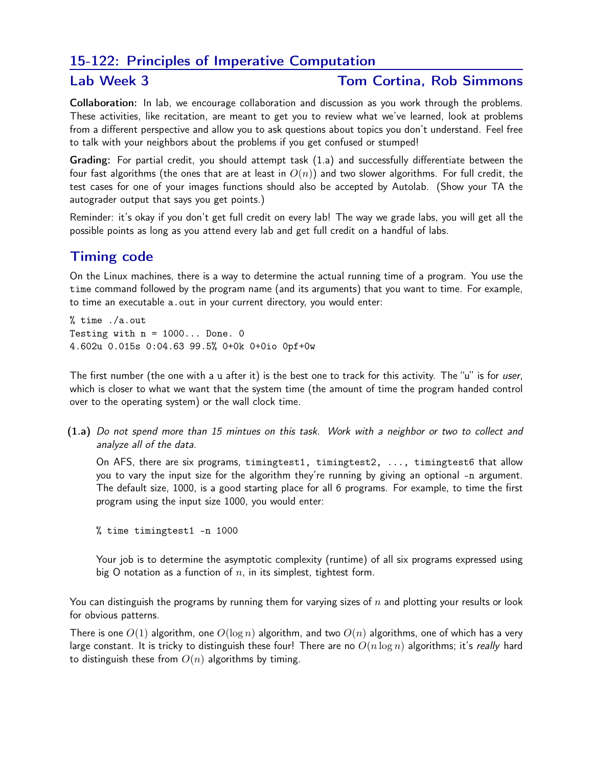## 15-122: Principles of Imperative Computation

#### Lab Week 3 Tom Cortina, Rob Simmons

Collaboration: In lab, we encourage collaboration and discussion as you work through the problems. These activities, like recitation, are meant to get you to review what we've learned, look at problems from a different perspective and allow you to ask questions about topics you don't understand. Feel free to talk with your neighbors about the problems if you get confused or stumped!

Grading: For partial credit, you should attempt task (1.a) and successfully differentiate between the four fast algorithms (the ones that are at least in  $O(n)$ ) and two slower algorithms. For full credit, the test cases for one of your images functions should also be accepted by Autolab. (Show your TA the autograder output that says you get points.)

Reminder: it's okay if you don't get full credit on every lab! The way we grade labs, you will get all the possible points as long as you attend every lab and get full credit on a handful of labs.

# Timing code

On the Linux machines, there is a way to determine the actual running time of a program. You use the time command followed by the program name (and its arguments) that you want to time. For example, to time an executable a.out in your current directory, you would enter:

% time ./a.out Testing with  $n = 1000...$  Done. 0 4.602u 0.015s 0:04.63 99.5% 0+0k 0+0io 0pf+0w

The first number (the one with a u after it) is the best one to track for this activity. The "u" is for user, which is closer to what we want that the system time (the amount of time the program handed control over to the operating system) or the wall clock time.

(1.a) Do not spend more than 15 mintues on this task. Work with a neighbor or two to collect and analyze all of the data.

On AFS, there are six programs, timingtest1, timingtest2, ..., timingtest6 that allow you to vary the input size for the algorithm they're running by giving an optional -n argument. The default size, 1000, is a good starting place for all 6 programs. For example, to time the first program using the input size 1000, you would enter:

% time timingtest1 -n 1000

Your job is to determine the asymptotic complexity (runtime) of all six programs expressed using big O notation as a function of  $n$ , in its simplest, tightest form.

You can distinguish the programs by running them for varying sizes of  $n$  and plotting your results or look for obvious patterns.

There is one  $O(1)$  algorithm, one  $O(\log n)$  algorithm, and two  $O(n)$  algorithms, one of which has a very large constant. It is tricky to distinguish these four! There are no  $O(n \log n)$  algorithms; it's really hard to distinguish these from  $O(n)$  algorithms by timing.